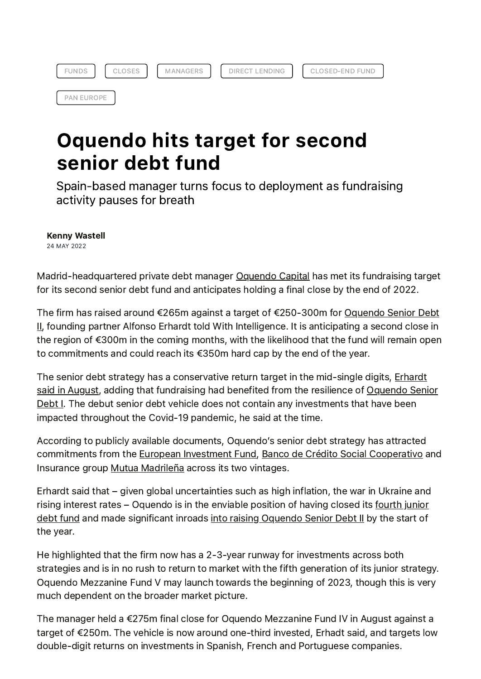| a INTE<br>兰しこ<br>∽ | M | i ti FNI do<br>ING |
|--------------------|---|--------------------|
|--------------------|---|--------------------|

CLOSED-END FUND

PAN EUROPE

## Oquendo hits target for second senior debt fund

Spain-based manager turns focus to deployment as fundraising activity pauses for breath

Kenny Wastell 24 MAY 2022

Madrid-headquartered private debt manager [Oquendo](https://platform.pcfi.global/intel/oquendo-hits-target-for-second-senior-debt-fund?a=429975&manager=2145873115) Capital has met its fundraising target for its second senior debt fund and anticipates holding a final close by the end of 2022.

The firm has raised around €265m against a target of [€250-300m](https://platform.pcfi.global/intel/oquendo-hits-target-for-second-senior-debt-fund?a=429975&fund=83784) for Oquendo Senior Debt II, founding partner Alfonso Erhardt told With Intelligence. It is anticipating a second close in the region of €300m in the coming months, with the likelihood that the fund will remain open to commitments and could reach its €350m hard cap by the end of the year.

The senior debt strategy has a [conservative](https://platform.pcfi.global/intel/erhardt-said-in-august?a=348223) return target in the mid-single digits, Erhardt said in August, adding that fundraising had benefited from the resilience of Oquendo Senior Debt I. The debut senior debt vehicle does not contain any [investments](https://platform.pcfi.global/intel/oquendo-hits-target-for-second-senior-debt-fund?a=429975&fund=46337) that have been impacted throughout the Covid-19 pandemic, he said at the time.

According to publicly available documents, Oquendo's senior debt strategy has attracted commitments from the European [Investment](https://platform.pcfi.global/intel/oquendo-hits-target-for-second-senior-debt-fund?a=429975&investor=1619387053) Fund, Banco de Crédito Social [Cooperativo](https://platform.pcfi.global/intel/oquendo-hits-target-for-second-senior-debt-fund?a=429975&investor=2147329103) and Insurance group Mutua [Madrileña](https://platform.pcfi.global/intel/oquendo-hits-target-for-second-senior-debt-fund?a=429975&investor=2147328044) across its two vintages.

Erhardt said that – given global uncertainties such as high inflation, the war in Ukraine and rising interest rates – Oquendo is in the enviable position of having closed its fourth junior debt fund and made [significant](https://platform.pcfi.global/intel/oquendo-hits-target-for-second-senior-debt-fund?a=429975&fund=46336) inroads into raising [Oquendo](https://platform.pcfi.global/intel/into-raising-oquendo-senior-debt-ii?a=381525) Senior Debt II by the start of the year.

He highlighted that the firm now has a 2-3-year runway for investments across both strategies and is in no rush to return to market with the fifth generation of its junior strategy. Oquendo Mezzanine Fund V may launch towards the beginning of 2023, though this is very much dependent on the broader market picture.

The manager held a €275m final close for Oquendo Mezzanine Fund IV in August against a target of €250m. The vehicle is now around one-third invested, Erhadt said, and targets low double-digit returns on investments in Spanish, French and Portuguese companies.